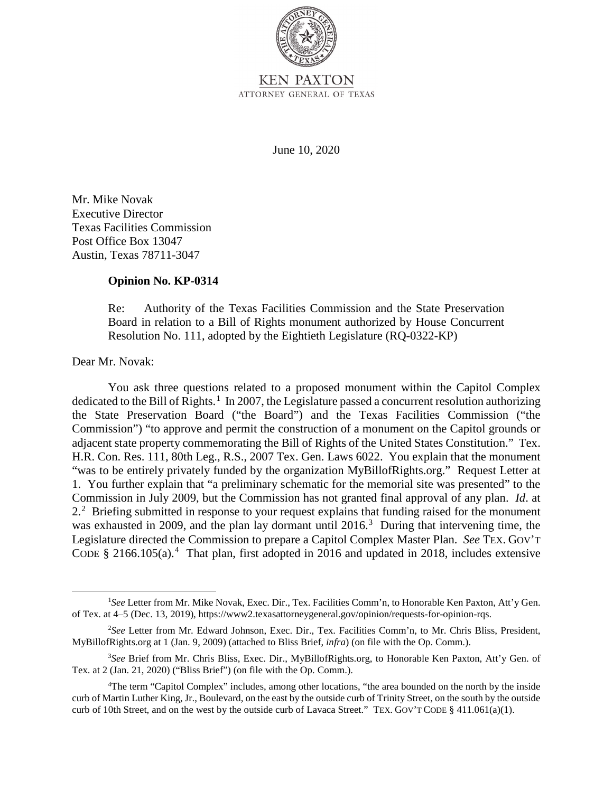

June 10, 2020

Mr. Mike Novak Executive Director Texas Facilities Commission Post Office Box 13047 Austin, Texas 78711-3047

## **Opinion No. KP-0314**

Re: Authority of the Texas Facilities Commission and the State Preservation Board in relation to a Bill of Rights monument authorized by House Concurrent Resolution No. 111, adopted by the Eightieth Legislature (RQ-0322-KP)

Dear Mr. Novak:

You ask three questions related to a proposed monument within the Capitol Complex dedicated to the Bill of Rights.<sup>1</sup> In 2007, the Legislature passed a concurrent resolution authorizing the State Preservation Board ("the Board") and the Texas Facilities Commission ("the Commission") "to approve and permit the construction of a monument on the Capitol grounds or adjacent state property commemorating the Bill of Rights of the United States Constitution." Tex. H.R. Con. Res. 111, 80th Leg., R.S., 2007 Tex. Gen. Laws 6022. You explain that the monument "was to be entirely privately funded by the organization MyBillofRights.org." Request Letter at 1. You further explain that "a preliminary schematic for the memorial site was presented" to the Commission in July 2009, but the Commission has not granted final approval of any plan. *Id*. at 2.<sup>2</sup> Briefing submitted in response to your request explains that funding raised for the monument was exhausted in 2009, and the plan lay dormant until  $2016$ <sup>3</sup> During that intervening time, the Legislature directed the Commission to prepare a Capitol Complex Master Plan. *See* TEX. GOV'T CODE  $\S$  2166.105(a).<sup>4</sup> That plan, first adopted in 2016 and updated in 2018, includes extensive

<sup>&</sup>lt;sup>1</sup>See Letter from Mr. Mike Novak, Exec. Dir., Tex. Facilities Comm'n, to Honorable Ken Paxton, Att'y Gen. of Tex. at 4‒5 (Dec. 13, 2019), https://www2.texasattorneygeneral.gov/opinion/requests-for-opinion-rqs.

<sup>2</sup> *See* Letter from Mr. Edward Johnson, Exec. Dir., Tex. Facilities Comm'n, to Mr. Chris Bliss, President, MyBillofRights.org at 1 (Jan. 9, 2009) (attached to Bliss Brief, *infra*) (on file with the Op. Comm.).

<sup>3</sup> *See* Brief from Mr. Chris Bliss, Exec. Dir., MyBillofRights.org, to Honorable Ken Paxton, Att'y Gen. of Tex. at 2 (Jan. 21, 2020) ("Bliss Brief") (on file with the Op. Comm.).

<sup>4</sup> The term "Capitol Complex" includes, among other locations, "the area bounded on the north by the inside curb of Martin Luther King, Jr., Boulevard, on the east by the outside curb of Trinity Street, on the south by the outside curb of 10th Street, and on the west by the outside curb of Lavaca Street." TEX. GOV'T CODE § 411.061(a)(1).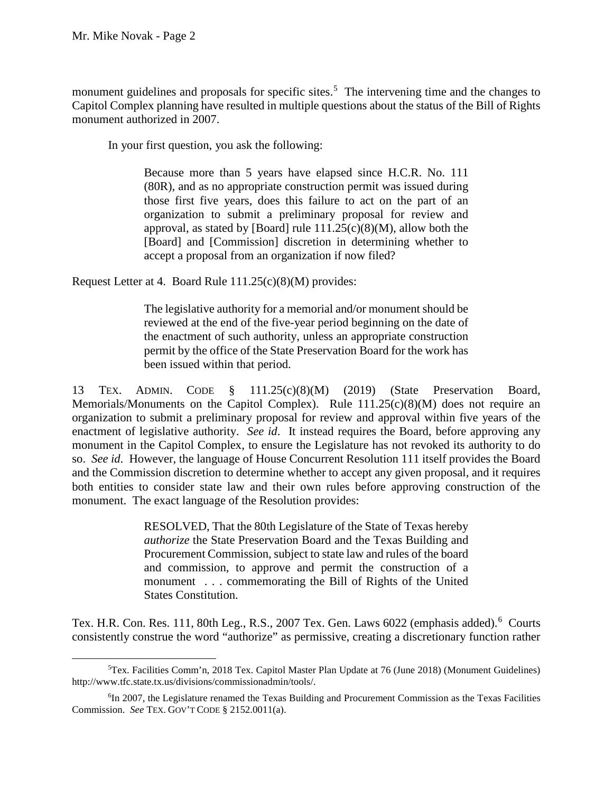monument guidelines and proposals for specific sites.<sup>5</sup> The intervening time and the changes to Capitol Complex planning have resulted in multiple questions about the status of the Bill of Rights monument authorized in 2007.

In your first question, you ask the following:

Because more than 5 years have elapsed since H.C.R. No. 111 (80R), and as no appropriate construction permit was issued during those first five years, does this failure to act on the part of an organization to submit a preliminary proposal for review and approval, as stated by [Board] rule  $111.25(c)(8)(M)$ , allow both the [Board] and [Commission] discretion in determining whether to accept a proposal from an organization if now filed?

Request Letter at 4. Board Rule 111.25(c)(8)(M) provides:

 The legislative authority for a memorial and/or monument should be reviewed at the end of the five-year period beginning on the date of the enactment of such authority, unless an appropriate construction permit by the office of the State Preservation Board for the work has been issued within that period.

 organization to submit a preliminary proposal for review and approval within five years of the enactment of legislative authority. *See id*. It instead requires the Board, before approving any and the Commission discretion to determine whether to accept any given proposal, and it requires 13 TEX. ADMIN. CODE § 111.25(c)(8)(M) (2019) (State Preservation Board, Memorials/Monuments on the Capitol Complex). Rule  $111.25(c)(8)(M)$  does not require an monument in the Capitol Complex, to ensure the Legislature has not revoked its authority to do so. *See id*. However, the language of House Concurrent Resolution 111 itself provides the Board both entities to consider state law and their own rules before approving construction of the monument. The exact language of the Resolution provides:

> RESOLVED, That the 80th Legislature of the State of Texas hereby *authorize* the State Preservation Board and the Texas Building and Procurement Commission, subject to state law and rules of the board and commission, to approve and permit the construction of a monument . . . commemorating the Bill of Rights of the United States Constitution.

 Tex. H.R. Con. Res. 111, 80th Leg., R.S., 2007 Tex. Gen. Laws 6022 (emphasis added). 6 Courts consistently construe the word "authorize" as permissive, creating a discretionary function rather

<sup>5</sup> Tex. Facilities Comm'n, 2018 Tex. Capitol Master Plan Update at 76 (June 2018) (Monument Guidelines) http://www.tfc.state.tx.us/divisions/commissionadmin/tools/.

 Commission. *See* TEX. GOV'T CODE § 2152.0011(a). 6 In 2007, the Legislature renamed the Texas Building and Procurement Commission as the Texas Facilities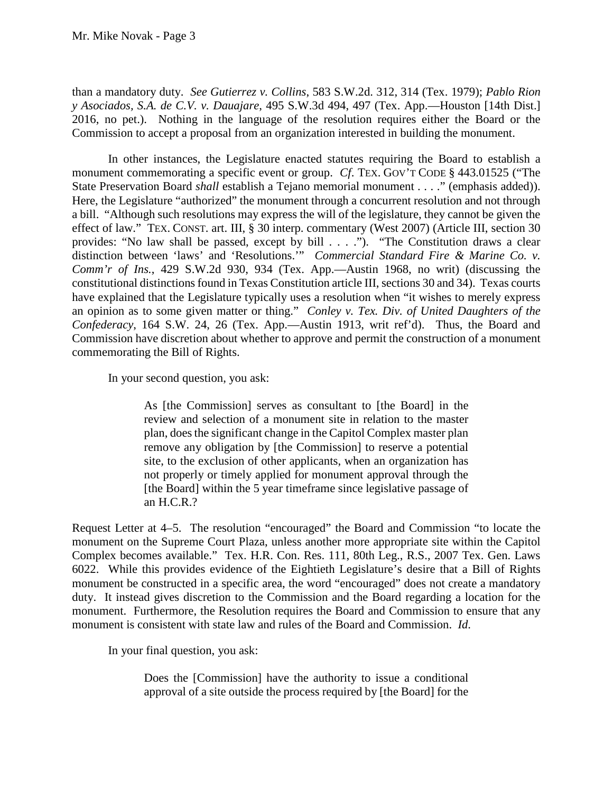than a mandatory duty. *See Gutierrez v. Collins*, 583 S.W.2d. 312, 314 (Tex. 1979); *Pablo Rion y Asociados, S.A. de C.V. v. Dauajare*, 495 S.W.3d 494, 497 (Tex. App.—Houston [14th Dist.] 2016, no pet.). Nothing in the language of the resolution requires either the Board or the Commission to accept a proposal from an organization interested in building the monument.

 State Preservation Board *shall* establish a Tejano memorial monument . . . ." (emphasis added)). a bill. "Although such resolutions may express the will of the legislature, they cannot be given the effect of law." TEX. CONST. art. III, § 30 interp. commentary (West 2007) (Article III, section 30 distinction between 'laws' and 'Resolutions.'" *Commercial Standard Fire & Marine Co. v.*  have explained that the Legislature typically uses a resolution when "it wishes to merely express an opinion as to some given matter or thing." *Conley v. Tex. Div. of United Daughters of the Confederacy*, 164 S.W. 24, 26 (Tex. App.—Austin 1913, writ ref'd). Thus, the Board and In other instances, the Legislature enacted statutes requiring the Board to establish a monument commemorating a specific event or group. *Cf*. TEX. GOV'T CODE § 443.01525 ("The Here, the Legislature "authorized" the monument through a concurrent resolution and not through provides: "No law shall be passed, except by bill . . . ."). "The Constitution draws a clear *Comm'r of Ins.*, 429 S.W.2d 930, 934 (Tex. App.—Austin 1968, no writ) (discussing the constitutional distinctions found in Texas Constitution article III, sections 30 and 34). Texas courts Commission have discretion about whether to approve and permit the construction of a monument commemorating the Bill of Rights.

In your second question, you ask:

 remove any obligation by [the Commission] to reserve a potential As [the Commission] serves as consultant to [the Board] in the review and selection of a monument site in relation to the master plan, does the significant change in the Capitol Complex master plan site, to the exclusion of other applicants, when an organization has not properly or timely applied for monument approval through the [the Board] within the 5 year timeframe since legislative passage of an H.C.R.?

 monument. Furthermore, the Resolution requires the Board and Commission to ensure that any Request Letter at 4–5. The resolution "encouraged" the Board and Commission "to locate the monument on the Supreme Court Plaza, unless another more appropriate site within the Capitol Complex becomes available." Tex. H.R. Con. Res. 111, 80th Leg., R.S., 2007 Tex. Gen. Laws 6022. While this provides evidence of the Eightieth Legislature's desire that a Bill of Rights monument be constructed in a specific area, the word "encouraged" does not create a mandatory duty. It instead gives discretion to the Commission and the Board regarding a location for the monument is consistent with state law and rules of the Board and Commission. *Id*.

In your final question, you ask:

Does the [Commission] have the authority to issue a conditional approval of a site outside the process required by [the Board] for the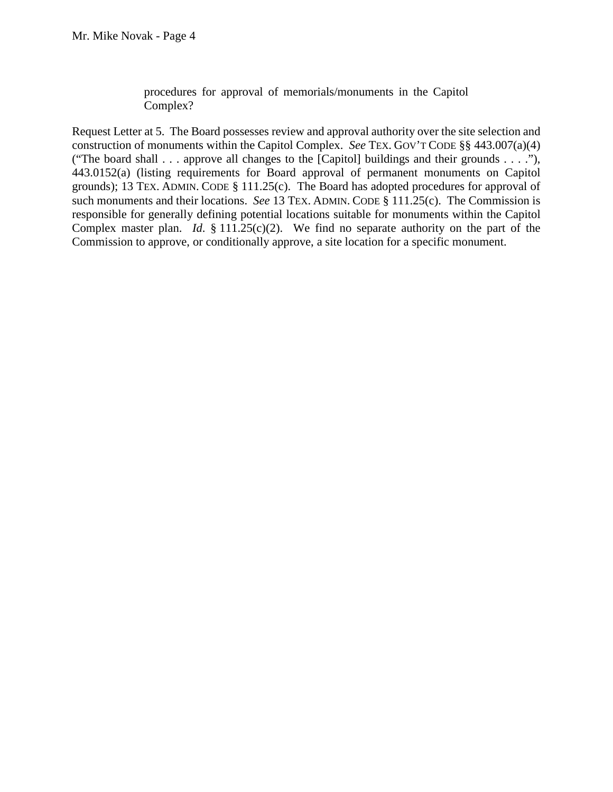procedures for approval of memorials/monuments in the Capitol Complex?

 grounds); 13 TEX. ADMIN. CODE § 111.25(c). The Board has adopted procedures for approval of such monuments and their locations. *See* 13 TEX. ADMIN. CODE § 111.25(c). The Commission is Complex master plan. *Id*. § 111.25(c)(2). We find no separate authority on the part of the Request Letter at 5. The Board possesses review and approval authority over the site selection and construction of monuments within the Capitol Complex. *See* TEX. GOV'T CODE §§ 443.007(a)(4) ("The board shall . . . approve all changes to the [Capitol] buildings and their grounds . . . ."), 443.0152(a) (listing requirements for Board approval of permanent monuments on Capitol responsible for generally defining potential locations suitable for monuments within the Capitol Commission to approve, or conditionally approve, a site location for a specific monument.